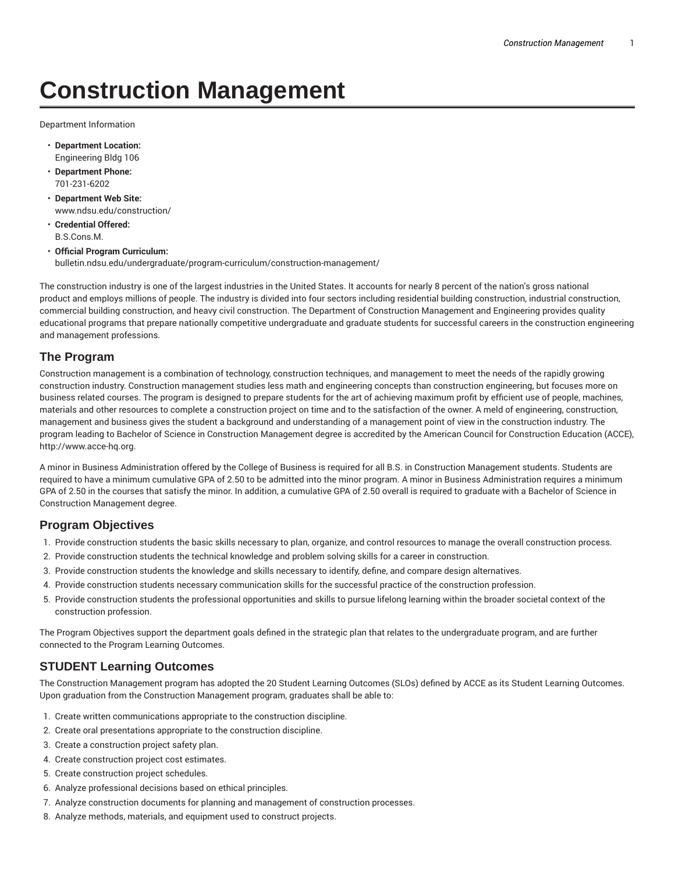# **Construction Management**

Department Information

- **Department Location:** Engineering Bldg 106
- **Department Phone:** 701-231-6202
- **Department Web Site:** www.ndsu.edu/construction/
- **Credential Offered:** B.S.Cons.M.
- **Official Program Curriculum:** bulletin.ndsu.edu/undergraduate/program-curriculum/construction-management/

The construction industry is one of the largest industries in the United States. It accounts for nearly 8 percent of the nation's gross national product and employs millions of people. The industry is divided into four sectors including residential building construction, industrial construction, commercial building construction, and heavy civil construction. The Department of Construction Management and Engineering provides quality educational programs that prepare nationally competitive undergraduate and graduate students for successful careers in the construction engineering and management professions.

#### **The Program**

Construction management is a combination of technology, construction techniques, and management to meet the needs of the rapidly growing construction industry. Construction management studies less math and engineering concepts than construction engineering, but focuses more on business related courses. The program is designed to prepare students for the art of achieving maximum profit by efficient use of people, machines, materials and other resources to complete a construction project on time and to the satisfaction of the owner. A meld of engineering, construction, management and business gives the student a background and understanding of a management point of view in the construction industry. The program leading to Bachelor of Science in Construction Management degree is accredited by the American Council for Construction Education (ACCE), http://www.acce-hq.org.

A minor in Business Administration offered by the College of Business is required for all B.S. in Construction Management students. Students are required to have a minimum cumulative GPA of 2.50 to be admitted into the minor program. A minor in Business Administration requires a minimum GPA of 2.50 in the courses that satisfy the minor. In addition, a cumulative GPA of 2.50 overall is required to graduate with a Bachelor of Science in Construction Management degree.

#### **Program Objectives**

- 1. Provide construction students the basic skills necessary to plan, organize, and control resources to manage the overall construction process.
- 2. Provide construction students the technical knowledge and problem solving skills for a career in construction.
- 3. Provide construction students the knowledge and skills necessary to identify, define, and compare design alternatives.
- 4. Provide construction students necessary communication skills for the successful practice of the construction profession.
- 5. Provide construction students the professional opportunities and skills to pursue lifelong learning within the broader societal context of the construction profession.

The Program Objectives support the department goals defined in the strategic plan that relates to the undergraduate program, and are further connected to the Program Learning Outcomes.

## **STUDENT Learning Outcomes**

The Construction Management program has adopted the 20 Student Learning Outcomes (SLOs) defined by ACCE as its Student Learning Outcomes. Upon graduation from the Construction Management program, graduates shall be able to:

- 1. Create written communications appropriate to the construction discipline.
- 2. Create oral presentations appropriate to the construction discipline.
- 3. Create a construction project safety plan.
- 4. Create construction project cost estimates.
- 5. Create construction project schedules.
- 6. Analyze professional decisions based on ethical principles.
- 7. Analyze construction documents for planning and management of construction processes.
- 8. Analyze methods, materials, and equipment used to construct projects.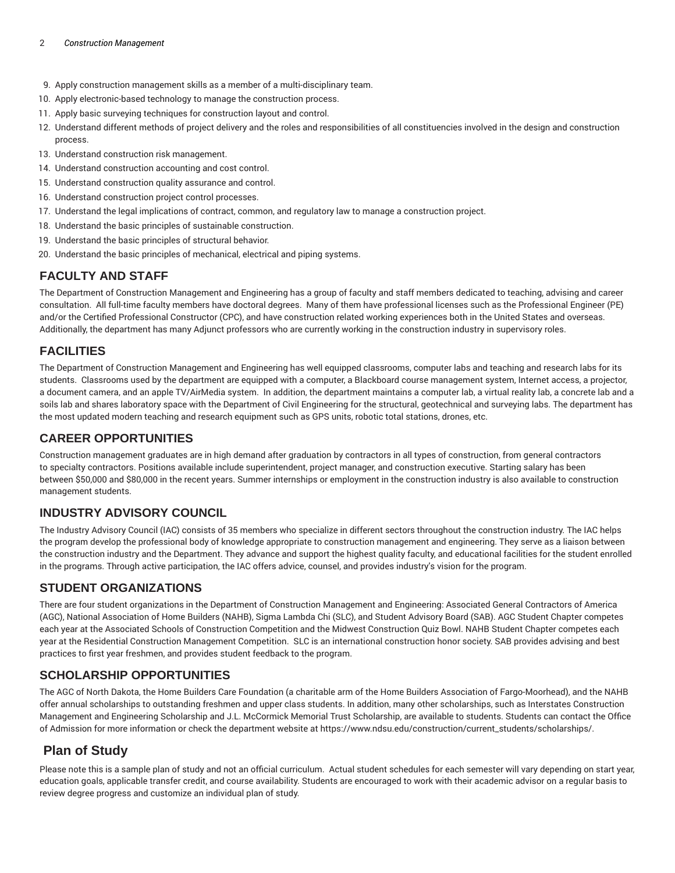- 9. Apply construction management skills as a member of a multi-disciplinary team.
- 10. Apply electronic-based technology to manage the construction process.
- 11. Apply basic surveying techniques for construction layout and control.
- 12. Understand different methods of project delivery and the roles and responsibilities of all constituencies involved in the design and construction process.
- 13. Understand construction risk management.
- 14. Understand construction accounting and cost control.
- 15. Understand construction quality assurance and control.
- 16. Understand construction project control processes.
- 17. Understand the legal implications of contract, common, and regulatory law to manage a construction project.
- 18. Understand the basic principles of sustainable construction.
- 19. Understand the basic principles of structural behavior.
- 20. Understand the basic principles of mechanical, electrical and piping systems.

### **FACULTY AND STAFF**

The Department of Construction Management and Engineering has a group of faculty and staff members dedicated to teaching, advising and career consultation. All full-time faculty members have doctoral degrees. Many of them have professional licenses such as the Professional Engineer (PE) and/or the Certified Professional Constructor (CPC), and have construction related working experiences both in the United States and overseas. Additionally, the department has many Adjunct professors who are currently working in the construction industry in supervisory roles.

#### **FACILITIES**

The Department of Construction Management and Engineering has well equipped classrooms, computer labs and teaching and research labs for its students. Classrooms used by the department are equipped with a computer, a Blackboard course management system, Internet access, a projector, a document camera, and an apple TV/AirMedia system. In addition, the department maintains a computer lab, a virtual reality lab, a concrete lab and a soils lab and shares laboratory space with the Department of Civil Engineering for the structural, geotechnical and surveying labs. The department has the most updated modern teaching and research equipment such as GPS units, robotic total stations, drones, etc.

#### **CAREER OPPORTUNITIES**

Construction management graduates are in high demand after graduation by contractors in all types of construction, from general contractors to specialty contractors. Positions available include superintendent, project manager, and construction executive. Starting salary has been between \$50,000 and \$80,000 in the recent years. Summer internships or employment in the construction industry is also available to construction management students.

#### **INDUSTRY ADVISORY COUNCIL**

The Industry Advisory Council (IAC) consists of 35 members who specialize in different sectors throughout the construction industry. The IAC helps the program develop the professional body of knowledge appropriate to construction management and engineering. They serve as a liaison between the construction industry and the Department. They advance and support the highest quality faculty, and educational facilities for the student enrolled in the programs. Through active participation, the IAC offers advice, counsel, and provides industry's vision for the program.

### **STUDENT ORGANIZATIONS**

There are four student organizations in the Department of Construction Management and Engineering: Associated General Contractors of America (AGC), National Association of Home Builders (NAHB), Sigma Lambda Chi (SLC), and Student Advisory Board (SAB). AGC Student Chapter competes each year at the Associated Schools of Construction Competition and the Midwest Construction Quiz Bowl. NAHB Student Chapter competes each year at the Residential Construction Management Competition. SLC is an international construction honor society. SAB provides advising and best practices to first year freshmen, and provides student feedback to the program.

### **SCHOLARSHIP OPPORTUNITIES**

The AGC of North Dakota, the Home Builders Care Foundation (a charitable arm of the Home Builders Association of Fargo-Moorhead), and the NAHB offer annual scholarships to outstanding freshmen and upper class students. In addition, many other scholarships, such as Interstates Construction Management and Engineering Scholarship and J.L. McCormick Memorial Trust Scholarship, are available to students. Students can contact the Office of Admission for more information or check the department website at https://www.ndsu.edu/construction/current\_students/scholarships/.

## **Plan of Study**

Please note this is a sample plan of study and not an official curriculum. Actual student schedules for each semester will vary depending on start year, education goals, applicable transfer credit, and course availability. Students are encouraged to work with their academic advisor on a regular basis to review degree progress and customize an individual plan of study.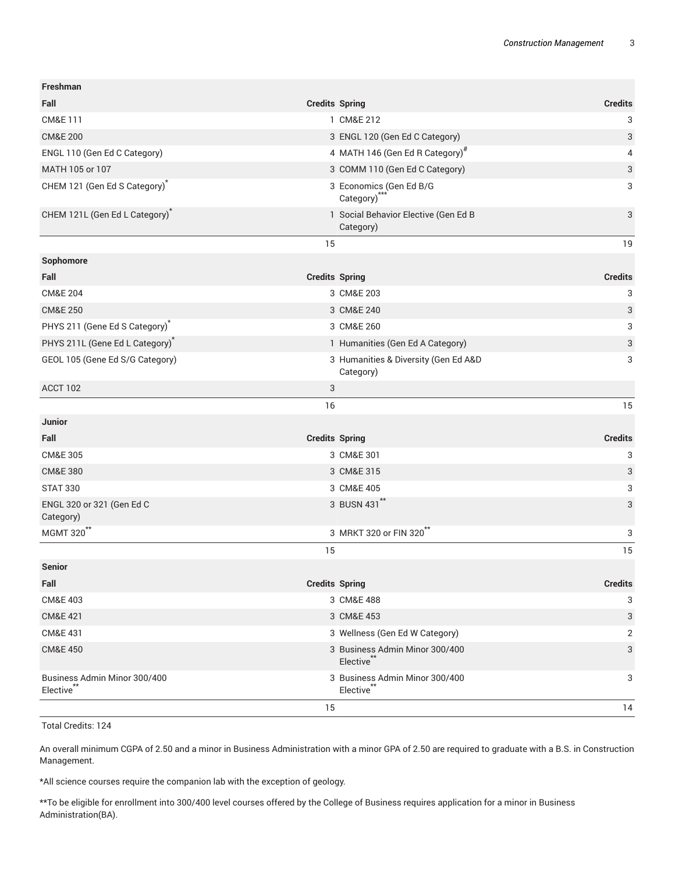| <b>Freshman</b>                             |                                                               |
|---------------------------------------------|---------------------------------------------------------------|
| Fall                                        | <b>Credits Spring</b><br><b>Credits</b>                       |
| <b>CM&amp;E111</b>                          | 1 CM&E 212<br>3                                               |
| <b>CM&amp;E 200</b>                         | 3<br>3 ENGL 120 (Gen Ed C Category)                           |
| ENGL 110 (Gen Ed C Category)                | 4 MATH 146 (Gen Ed R Category) <sup>#</sup><br>4              |
| MATH 105 or 107                             | 3<br>3 COMM 110 (Gen Ed C Category)                           |
| CHEM 121 (Gen Ed S Category) <sup>*</sup>   | 3<br>3 Economics (Gen Ed B/G<br>Category)***                  |
| CHEM 121L (Gen Ed L Category) <sup>*</sup>  | 3<br>1 Social Behavior Elective (Gen Ed B<br>Category)        |
| 15                                          | 19                                                            |
| Sophomore                                   |                                                               |
| Fall                                        | <b>Credits Spring</b><br><b>Credits</b>                       |
| <b>CM&amp;E 204</b>                         | 3 CM&E 203<br>3                                               |
| <b>CM&amp;E 250</b>                         | 3<br>3 CM&E 240                                               |
| PHYS 211 (Gene Ed S Category) <sup>*</sup>  | 3<br>3 CM&E 260                                               |
| PHYS 211L (Gene Ed L Category) <sup>*</sup> | 1 Humanities (Gen Ed A Category)<br>3                         |
| GEOL 105 (Gene Ed S/G Category)             | 3 Humanities & Diversity (Gen Ed A&D<br>3<br>Category)        |
| ACCT 102<br>3                               |                                                               |
| 16                                          | 15                                                            |
| <b>Junior</b>                               |                                                               |
| Fall                                        | <b>Credits Spring</b><br><b>Credits</b>                       |
| <b>CM&amp;E 305</b>                         | 3 CM&E 301<br>3                                               |
| <b>CM&amp;E 380</b>                         | 3 CM&E 315<br>3                                               |
| <b>STAT 330</b>                             | 3<br>3 CM&E 405                                               |
| ENGL 320 or 321 (Gen Ed C<br>Category)      | 3 BUSN 431"<br>3                                              |
| MGMT 320 <sup>**</sup>                      | 3 MRKT 320 or FIN 320 <sup>**</sup><br>3                      |
| 15                                          | 15                                                            |
| <b>Senior</b>                               |                                                               |
| Fall                                        | <b>Credits</b><br><b>Credits Spring</b>                       |
| <b>CM&amp;E 403</b>                         | 3 CM&E 488<br>3                                               |
| <b>CM&amp;E 421</b>                         | 3 CM&E 453<br>3                                               |
| CM&E 431                                    | 3 Wellness (Gen Ed W Category)<br>2                           |
| <b>CM&amp;E 450</b>                         | 3<br>3 Business Admin Minor 300/400<br>Elective <sup>**</sup> |
| Business Admin Minor 300/400<br>Elective**  | 3 Business Admin Minor 300/400<br>3<br>Elective <sup>**</sup> |
| 15                                          | 14                                                            |

Total Credits: 124

An overall minimum CGPA of 2.50 and a minor in Business Administration with a minor GPA of 2.50 are required to graduate with a B.S. in Construction Management.

\*All science courses require the companion lab with the exception of geology.

\*\*To be eligible for enrollment into 300/400 level courses offered by the College of Business requires application for a minor in Business Administration(BA).